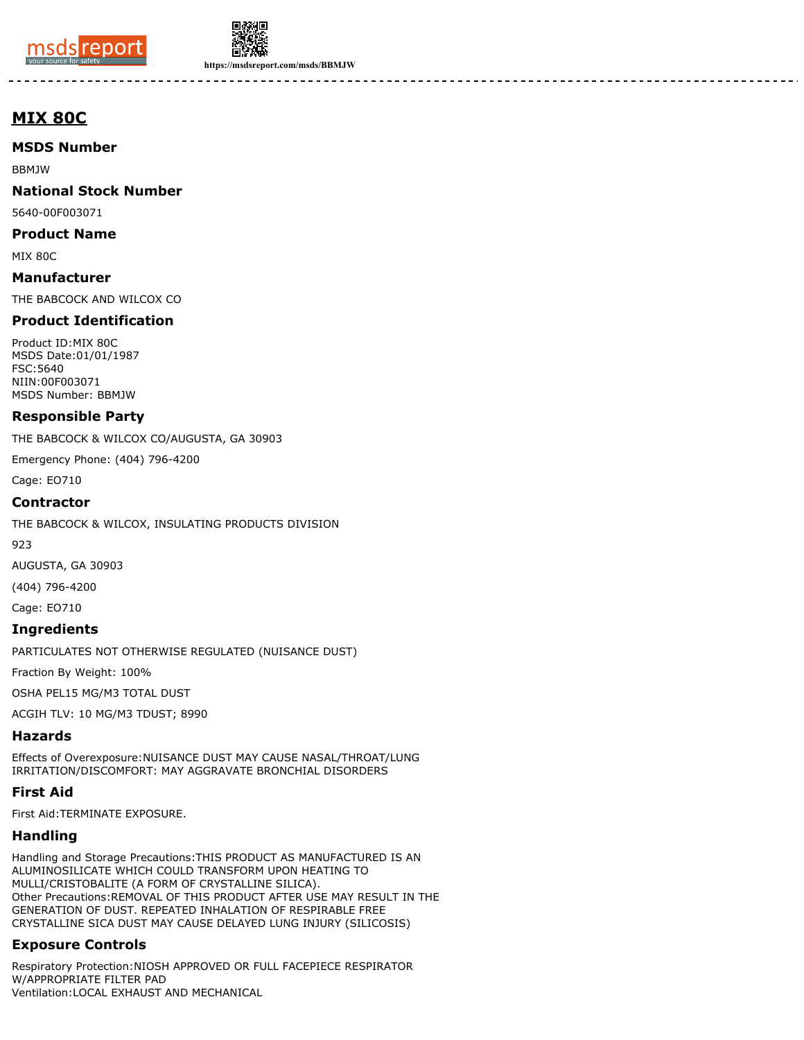



**https://msdsreport.com/msds/BBMJW**

# **MIX 80C**

### **MSDS Number**

BBMJW

### **National Stock Number**

5640-00F003071

#### **Product Name**

MIX 80C

**Manufacturer** THE BABCOCK AND WILCOX CO

### **Product Identification**

Product ID:MIX 80C MSDS Date:01/01/1987 FSC:5640 NIIN:00F003071 MSDS Number: BBMJW

### **Responsible Party**

THE BABCOCK & WILCOX CO/AUGUSTA, GA 30903

Emergency Phone: (404) 796-4200

Cage: EO710

### **Contractor**

THE BABCOCK & WILCOX, INSULATING PRODUCTS DIVISION

923

AUGUSTA, GA 30903

(404) 796-4200

Cage: EO710

### **Ingredients**

PARTICULATES NOT OTHERWISE REGULATED (NUISANCE DUST)

Fraction By Weight: 100%

OSHA PEL15 MG/M3 TOTAL DUST

ACGIH TLV: 10 MG/M3 TDUST; 8990

## **Hazards**

Effects of Overexposure:NUISANCE DUST MAY CAUSE NASAL/THROAT/LUNG IRRITATION/DISCOMFORT: MAY AGGRAVATE BRONCHIAL DISORDERS

## **First Aid**

First Aid:TERMINATE EXPOSURE.

## **Handling**

Handling and Storage Precautions:THIS PRODUCT AS MANUFACTURED IS AN ALUMINOSILICATE WHICH COULD TRANSFORM UPON HEATING TO MULLI/CRISTOBALITE (A FORM OF CRYSTALLINE SILICA). Other Precautions:REMOVAL OF THIS PRODUCT AFTER USE MAY RESULT IN THE GENERATION OF DUST. REPEATED INHALATION OF RESPIRABLE FREE CRYSTALLINE SICA DUST MAY CAUSE DELAYED LUNG INJURY (SILICOSIS)

# **Exposure Controls**

Respiratory Protection:NIOSH APPROVED OR FULL FACEPIECE RESPIRATOR W/APPROPRIATE FILTER PAD Ventilation:LOCAL EXHAUST AND MECHANICAL